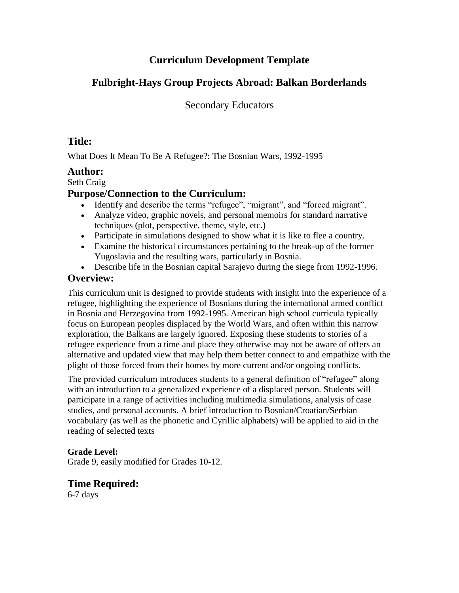## **Curriculum Development Template**

# **Fulbright-Hays Group Projects Abroad: Balkan Borderlands**

Secondary Educators

# **Title:**

What Does It Mean To Be A Refugee?: The Bosnian Wars, 1992-1995

### **Author:**

Seth Craig

## **Purpose/Connection to the Curriculum:**

- Identify and describe the terms "refugee", "migrant", and "forced migrant"*.*
- Analyze video, graphic novels, and personal memoirs for standard narrative techniques (plot, perspective, theme, style, etc.)
- Participate in simulations designed to show what it is like to flee a country.
- Examine the historical circumstances pertaining to the break-up of the former Yugoslavia and the resulting wars, particularly in Bosnia.
- Describe life in the Bosnian capital Sarajevo during the siege from 1992-1996.

# **Overview:**

This curriculum unit is designed to provide students with insight into the experience of a refugee, highlighting the experience of Bosnians during the international armed conflict in Bosnia and Herzegovina from 1992-1995. American high school curricula typically focus on European peoples displaced by the World Wars, and often within this narrow exploration, the Balkans are largely ignored. Exposing these students to stories of a refugee experience from a time and place they otherwise may not be aware of offers an alternative and updated view that may help them better connect to and empathize with the plight of those forced from their homes by more current and/or ongoing conflicts.

The provided curriculum introduces students to a general definition of "refugee" along with an introduction to a generalized experience of a displaced person. Students will participate in a range of activities including multimedia simulations, analysis of case studies, and personal accounts. A brief introduction to Bosnian/Croatian/Serbian vocabulary (as well as the phonetic and Cyrillic alphabets) will be applied to aid in the reading of selected texts

### **Grade Level:**

Grade 9, easily modified for Grades 10-12.

## **Time Required:**

6-7 days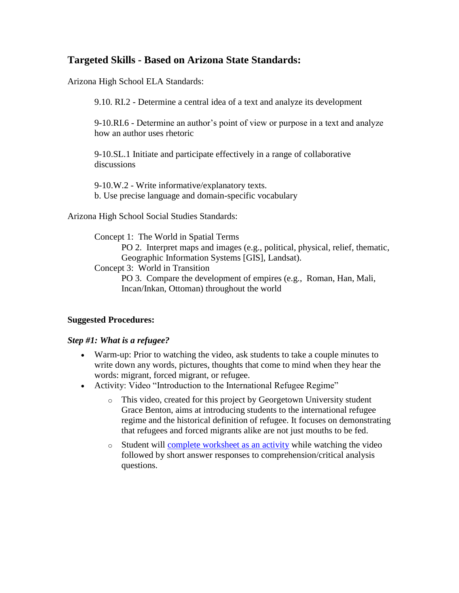## **Targeted Skills - Based on Arizona State Standards:**

Arizona High School ELA Standards:

9.10. RI.2 - Determine a central idea of a text and analyze its development

9-10.RI.6 - Determine an author's point of view or purpose in a text and analyze how an author uses rhetoric

9-10.SL.1 Initiate and participate effectively in a range of collaborative discussions

9-10.W.2 - Write informative/explanatory texts. b. Use precise language and domain-specific vocabulary

Arizona High School Social Studies Standards:

Concept 1: The World in Spatial Terms

PO 2. Interpret maps and images (e.g., political, physical, relief, thematic, Geographic Information Systems [GIS], Landsat).

Concept 3: World in Transition

PO 3. Compare the development of empires (e.g., Roman, Han, Mali, Incan/Inkan, Ottoman) throughout the world

#### **Suggested Procedures:**

#### *Step #1: What is a refugee?*

- Warm-up: Prior to watching the video, ask students to take a couple minutes to write down any words, pictures, thoughts that come to mind when they hear the words: migrant, forced migrant, or refugee.
- Activity: Video "Introduction to the International Refugee Regime"
	- o This video, created for this project by Georgetown University student Grace Benton, aims at introducing students to the international refugee regime and the historical definition of refugee. It focuses on demonstrating that refugees and forced migrants alike are not just mouths to be fed.
	- o Student will [complete worksheet as an activity](https://ccas.georgetown.edu/sites/ccas/files/Lesson%20Plan-%20Introduction%20to%20the%20International%20Refugee%20Regime_1.pdf) while watching the video followed by short answer responses to comprehension/critical analysis questions.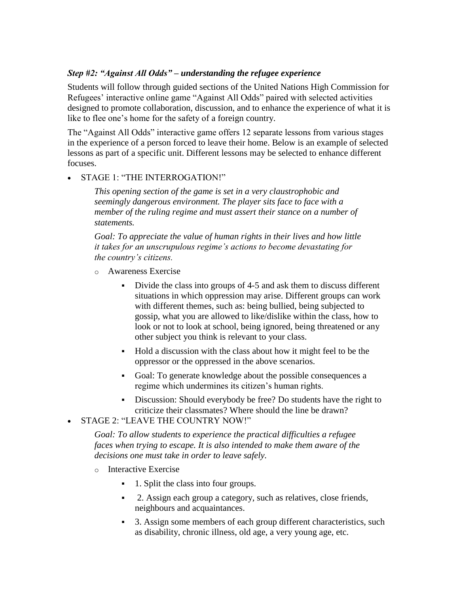#### *Step #2: "Against All Odds" – understanding the refugee experience*

Students will follow through guided sections of the United Nations High Commission for Refugees' interactive online game "Against All Odds" paired with selected activities designed to promote collaboration, discussion, and to enhance the experience of what it is like to flee one's home for the safety of a foreign country.

The "Against All Odds" interactive game offers 12 separate lessons from various stages in the experience of a person forced to leave their home. Below is an example of selected lessons as part of a specific unit. Different lessons may be selected to enhance different focuses.

#### STAGE 1: "THE INTERROGATION!"

*This opening section of the game is set in a very claustrophobic and seemingly dangerous environment. The player sits face to face with a member of the ruling regime and must assert their stance on a number of statements.* 

*Goal: To appreciate the value of human rights in their lives and how little it takes for an unscrupulous regime's actions to become devastating for the country's citizens.*

- o Awareness Exercise
	- Divide the class into groups of 4-5 and ask them to discuss different situations in which oppression may arise. Different groups can work with different themes, such as: being bullied, being subjected to gossip, what you are allowed to like/dislike within the class, how to look or not to look at school, being ignored, being threatened or any other subject you think is relevant to your class.
	- Hold a discussion with the class about how it might feel to be the oppressor or the oppressed in the above scenarios.
	- Goal: To generate knowledge about the possible consequences a regime which undermines its citizen's human rights.
	- Discussion: Should everybody be free? Do students have the right to criticize their classmates? Where should the line be drawn?
- STAGE 2: "LEAVE THE COUNTRY NOW!"

*Goal: To allow students to experience the practical difficulties a refugee faces when trying to escape. It is also intended to make them aware of the decisions one must take in order to leave safely.*

- o Interactive Exercise
	- 1. Split the class into four groups.
	- 2. Assign each group a category, such as relatives, close friends, neighbours and acquaintances.
	- 3. Assign some members of each group different characteristics, such as disability, chronic illness, old age, a very young age, etc.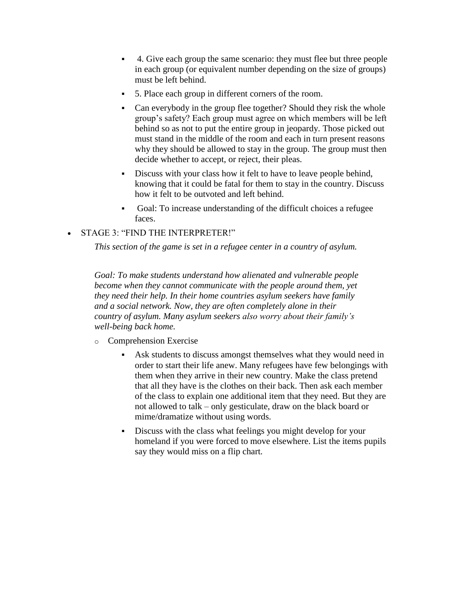- 4. Give each group the same scenario: they must flee but three people in each group (or equivalent number depending on the size of groups) must be left behind.
- 5. Place each group in different corners of the room.
- Can everybody in the group flee together? Should they risk the whole group's safety? Each group must agree on which members will be left behind so as not to put the entire group in jeopardy. Those picked out must stand in the middle of the room and each in turn present reasons why they should be allowed to stay in the group. The group must then decide whether to accept, or reject, their pleas.
- Discuss with your class how it felt to have to leave people behind, knowing that it could be fatal for them to stay in the country. Discuss how it felt to be outvoted and left behind.
- Goal: To increase understanding of the difficult choices a refugee faces.

### STAGE 3: "FIND THE INTERPRETER!"

*This section of the game is set in a refugee center in a country of asylum.* 

*Goal: To make students understand how alienated and vulnerable people become when they cannot communicate with the people around them, yet they need their help. In their home countries asylum seekers have family and a social network. Now, they are often completely alone in their country of asylum. Many asylum seekers also worry about their family's well-being back home.*

- o Comprehension Exercise
	- Ask students to discuss amongst themselves what they would need in order to start their life anew. Many refugees have few belongings with them when they arrive in their new country. Make the class pretend that all they have is the clothes on their back. Then ask each member of the class to explain one additional item that they need. But they are not allowed to talk – only gesticulate, draw on the black board or mime/dramatize without using words.
	- Discuss with the class what feelings you might develop for your homeland if you were forced to move elsewhere. List the items pupils say they would miss on a flip chart.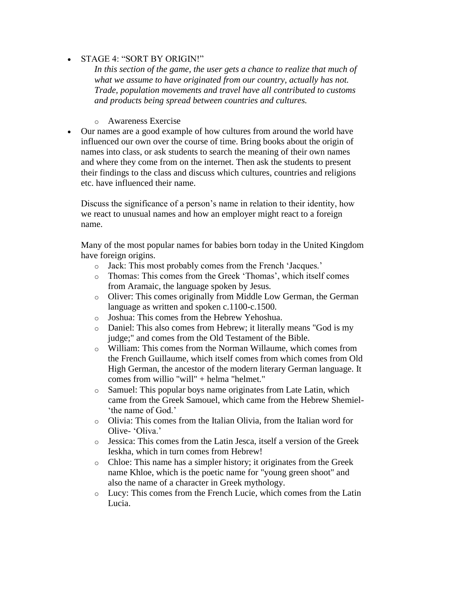#### STAGE 4: "SORT BY ORIGIN!"

In this section of the game, the user gets a chance to realize that much of *what we assume to have originated from our country, actually has not. Trade, population movements and travel have all contributed to customs and products being spread between countries and cultures.*

- o Awareness Exercise
- Our names are a good example of how cultures from around the world have influenced our own over the course of time. Bring books about the origin of names into class, or ask students to search the meaning of their own names and where they come from on the internet. Then ask the students to present their findings to the class and discuss which cultures, countries and religions etc. have influenced their name.

Discuss the significance of a person's name in relation to their identity, how we react to unusual names and how an employer might react to a foreign name.

Many of the most popular names for babies born today in the United Kingdom have foreign origins.

- o Jack: This most probably comes from the French 'Jacques.'
- o Thomas: This comes from the Greek 'Thomas', which itself comes from Aramaic, the language spoken by Jesus.
- o Oliver: This comes originally from Middle Low German, the German language as written and spoken c.1100-c.1500.
- o Joshua: This comes from the Hebrew Yehoshua.
- o Daniel: This also comes from Hebrew; it literally means "God is my judge;" and comes from the Old Testament of the Bible.
- o William: This comes from the Norman Willaume, which comes from the French Guillaume, which itself comes from which comes from Old High German, the ancestor of the modern literary German language. It comes from willio "will" + helma "helmet."
- o Samuel: This popular boys name originates from Late Latin, which came from the Greek Samouel, which came from the Hebrew Shemiel- 'the name of God.'
- o Olivia: This comes from the Italian Olivia, from the Italian word for Olive- 'Oliva.'
- o Jessica: This comes from the Latin Jesca, itself a version of the Greek Ieskha, which in turn comes from Hebrew!
- o Chloe: This name has a simpler history; it originates from the Greek name Khloe, which is the poetic name for "young green shoot" and also the name of a character in Greek mythology.
- o Lucy: This comes from the French Lucie, which comes from the Latin Lucia.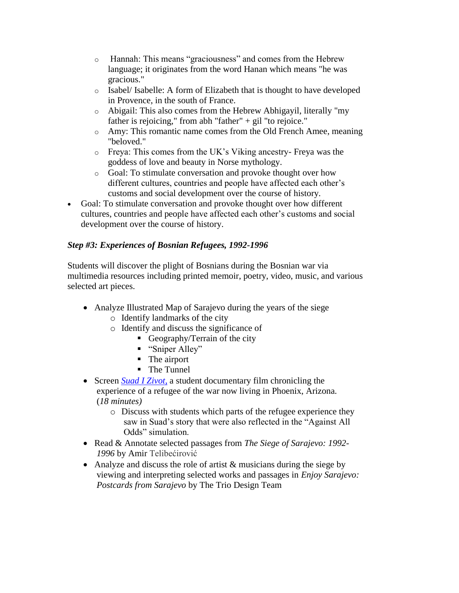- o Hannah: This means "graciousness" and comes from the Hebrew language; it originates from the word Hanan which means "he was gracious."
- o Isabel/ Isabelle: A form of Elizabeth that is thought to have developed in Provence, in the south of France.
- o Abigail: This also comes from the Hebrew Abhigayil, literally "my father is rejoicing," from abh "father" + gil "to rejoice."
- o Amy: This romantic name comes from the Old French Amee, meaning "beloved."
- o Freya: This comes from the UK's Viking ancestry- Freya was the goddess of love and beauty in Norse mythology.
- o Goal: To stimulate conversation and provoke thought over how different cultures, countries and people have affected each other's customs and social development over the course of history.
- Goal: To stimulate conversation and provoke thought over how different cultures, countries and people have affected each other's customs and social development over the course of history.

### *Step #3: Experiences of Bosnian Refugees, 1992-1996*

Students will discover the plight of Bosnians during the Bosnian war via multimedia resources including printed memoir, poetry, video, music, and various selected art pieces.

- Analyze Illustrated Map of Sarajevo during the years of the siege o Identify landmarks of the city
	- o Identify and discuss the significance of
		- Geography/Terrain of the city
			- "Sniper Alley"
			- The airport
			- The Tunnel
- Screen *[Suad I Zivot](https://vimeo.com/196130676)*, a student documentary film chronicling the experience of a refugee of the war now living in Phoenix, Arizona. (*18 minutes)*
	- o Discuss with students which parts of the refugee experience they saw in Suad's story that were also reflected in the "Against All Odds" simulation.
- Read & Annotate selected passages from *The Siege of Sarajevo: 1992- 1996* by Amir [Telibećirović](https://www.goodreads.com/author/show/13648599.Amir_Telibe_irovi_)
- Analyze and discuss the role of artist & musicians during the siege by viewing and interpreting selected works and passages in *Enjoy Sarajevo: Postcards from Sarajevo* by The Trio Design Team